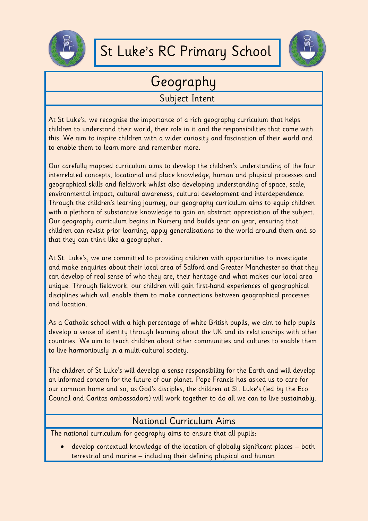

## St Luke's RC Primary School



## Geography

## Subject Intent

At St Luke's, we recognise the importance of a rich geography curriculum that helps children to understand their world, their role in it and the responsibilities that come with this. We aim to inspire children with a wider curiosity and fascination of their world and to enable them to learn more and remember more.

Our carefully mapped curriculum aims to develop the children's understanding of the four interrelated concepts, locational and place knowledge, human and physical processes and geographical skills and fieldwork whilst also developing understanding of space, scale, environmental impact, cultural awareness, cultural development and interdependence. Through the children's learning journey, our geography curriculum aims to equip children with a plethora of substantive knowledge to gain an abstract appreciation of the subject. Our geography curriculum begins in Nursery and builds year on year, ensuring that children can revisit prior learning, apply generalisations to the world around them and so that they can think like a geographer.

At St. Luke's, we are committed to providing children with opportunities to investigate and make enquiries about their local area of Salford and Greater Manchester so that they can develop of real sense of who they are, their heritage and what makes our local area unique. Through fieldwork, our children will gain first-hand experiences of geographical disciplines which will enable them to make connections between geographical processes and location.

As a Catholic school with a high percentage of white British pupils, we aim to help pupils develop a sense of identity through learning about the UK and its relationships with other countries. We aim to teach children about other communities and cultures to enable them to live harmoniously in a multi-cultural society.

The children of St Luke's will develop a sense responsibility for the Earth and will develop an informed concern for the future of our planet. Pope Francis has asked us to care for our common home and so, as God's disciples, the children at St. Luke's (led by the Eco Council and Caritas ambassadors) will work together to do all we can to live sustainably.

## National Curriculum Aims

The national curriculum for geography aims to ensure that all pupils:

 develop contextual knowledge of the location of globally significant places – both terrestrial and marine – including their defining physical and human